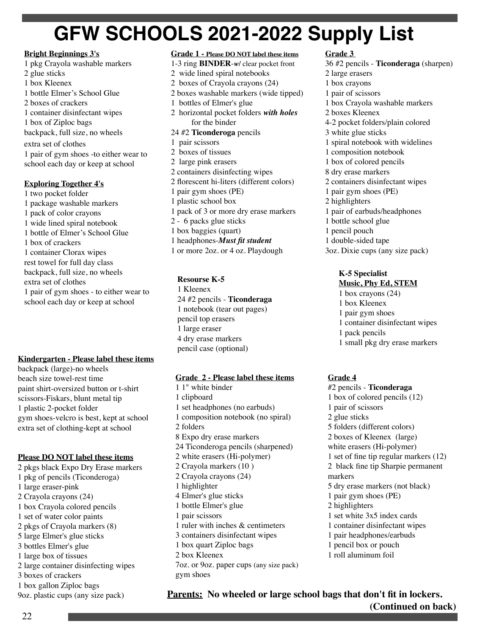# **GFW SCHOOLS 2021-2022 Supply List**

#### **Bright Beginnings 3's**

1 pkg Crayola washable markers 2 glue sticks 1 box Kleenex 1 bottle Elmer's School Glue 2 boxes of crackers 1 container disinfectant wipes 1 box of Ziploc bags backpack, full size, no wheels extra set of clothes 1 pair of gym shoes -to either wear to school each day or keep at school

#### **Exploring Together 4's**

1 two pocket folder 1 package washable markers 1 pack of color crayons 1 wide lined spiral notebook 1 bottle of Elmer's School Glue 1 box of crackers 1 container Clorax wipes rest towel for full day class backpack, full size, no wheels extra set of clothes 1 pair of gym shoes - to either wear to school each day or keep at school

#### **Kindergarten - Please label these items**

backpack (large)-no wheels beach size towel-rest time paint shirt-oversized button or t-shirt scissors-Fiskars, blunt metal tip 1 plastic 2-pocket folder gym shoes-velcro is best, kept at school extra set of clothing-kept at school

#### **Please DO NOT label these items**

2 pkgs black Expo Dry Erase markers 1 pkg of pencils (Ticonderoga) 1 large eraser-pink 2 Crayola crayons (24) 1 box Crayola colored pencils 1 set of water color paints 2 pkgs of Crayola markers (8) 5 large Elmer's glue sticks 3 bottles Elmer's glue 1 large box of tissues 2 large container disinfecting wipes 3 boxes of crackers 1 box gallon Ziploc bags 9oz. plastic cups (any size pack)

#### **Grade 1 - Please DO NOT label these items** 1-3 ring **BINDER**-*w/* clear pocket front 2 wide lined spiral notebooks 2 boxes of Crayola crayons (24) 2 boxes washable markers (wide tipped)

- 1 bottles of Elmer's glue 2 horizontal pocket folders *with holes* for the binder
- 24 #2 **Ticonderoga** pencils
- 1 pair scissors
- 2 boxes of tissues 2 large pink erasers 2 containers disinfecting wipes 2 forescent hi-liters (different colors)
- 1 pair gym shoes (PE)
- 1 plastic school box
- 1 pack of 3 or more dry erase markers
- 2 6 packs glue sticks
- 1 box baggies (quart)
- 1 headphones-*Must ft student*
- 1 or more 2oz. or 4 oz. Playdough

## **Resourse K-5**

1 Kleenex 24 #2 pencils - **Ticonderaga** 1 notebook (tear out pages) pencil top erasers 1 large eraser 4 dry erase markers pencil case (optional)

#### **Grade 2 - Please label these items**

1 1" white binder 1 clipboard 1 set headphones (no earbuds) 1 composition notebook (no spiral) 2 folders 8 Expo dry erase markers 24 Ticonderoga pencils (sharpened) 2 white erasers (Hi-polymer) 2 Crayola markers (10 ) 2 Crayola crayons (24) 1 highlighter 4 Elmer's glue sticks 1 bottle Elmer's glue 1 pair scissors 1 ruler with inches & centimeters 3 containers disinfectant wipes 1 box quart Ziploc bags 2 box Kleenex 7oz. or 9oz. paper cups (any size pack) gym shoes

#### **Grade 3**

36 #2 pencils - **Ticonderaga** (sharpen) 2 large erasers 1 box crayons 1 pair of scissors 1 box Crayola washable markers 2 boxes Kleenex 4-2 pocket folders/plain colored 3 white glue sticks 1 spiral notebook with widelines 1 composition notebook 1 box of colored pencils 8 dry erase markers 2 containers disinfectant wipes 1 pair gym shoes (PE) 2 highlighters 1 pair of earbuds/headphones 1 bottle school glue 1 pencil pouch 1 double-sided tape 3oz. Dixie cups (any size pack)

#### **K-5 Specialist Music, Phy Ed, STEM**

- 1 box crayons (24)
- 1 box Kleenex
- 1 pair gym shoes
- 1 container disinfectant wipes
- 1 pack pencils
- 1 small pkg dry erase markers

# **Grade 4**

#2 pencils - **Ticonderaga** 1 box of colored pencils (12) 1 pair of scissors 2 glue sticks 5 folders (different colors) 2 boxes of Kleenex (large) white erasers (Hi-polymer) 1 set of fne tip regular markers (12) 2 black fne tip Sharpie permanent markers 5 dry erase markers (not black) 1 pair gym shoes (PE) 2 highlighters 1 set white 3x5 index cards 1 container disinfectant wipes 1 pair headphones/earbuds 1 pencil box or pouch 1 roll aluminum foil

**Parents: No wheeled or large school bags that don't ft in lockers. (Continued on back)**